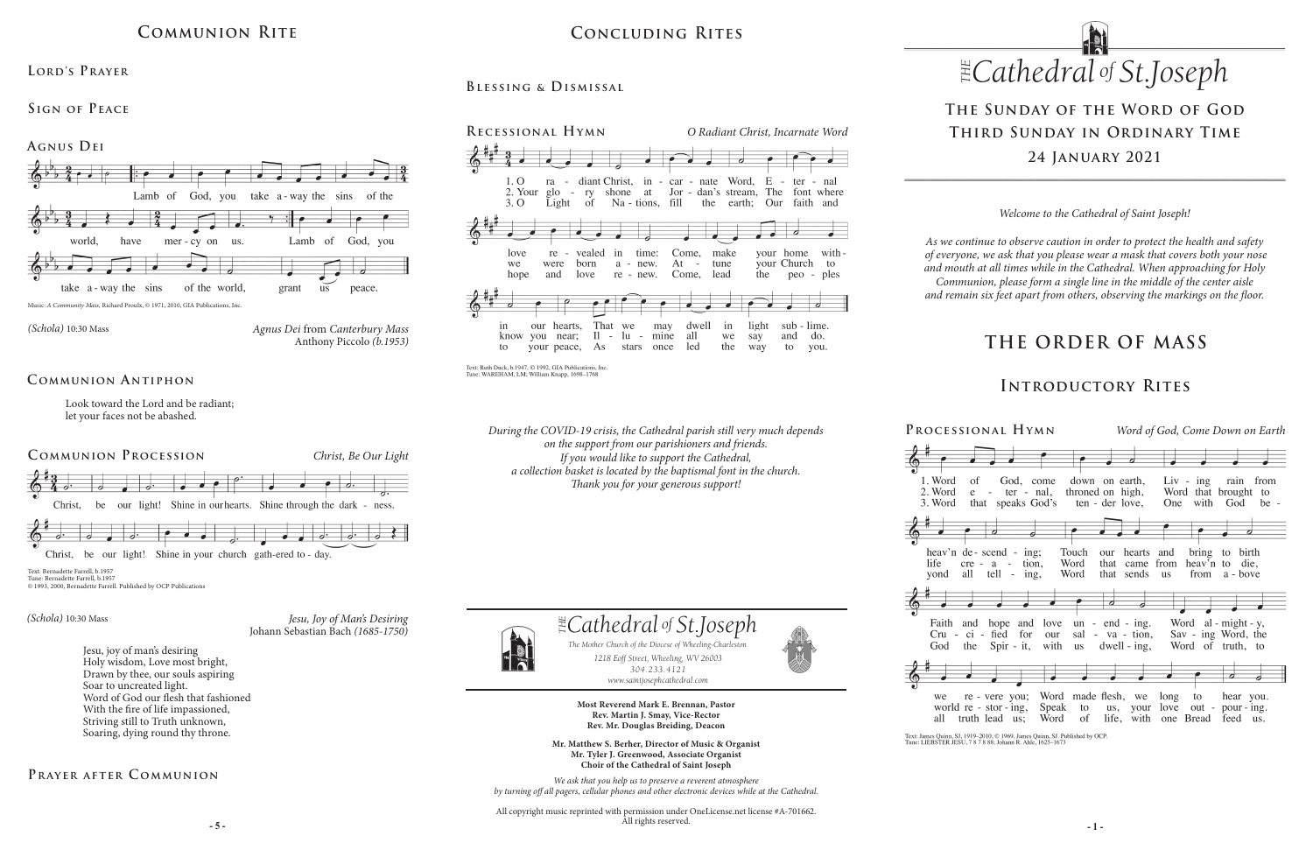# **THE ORDER OF MASS**

## **Introductory Rites**

Text: James Quinn, SJ, 1919-2010, © 1969, James Quinn, SJ. Published by OCP.<br>Tune: LIEBSTER JESU, 7 8 7 8 88; Johann R. Ahle, 1625-1673











*1218 Eoff Street, Wheeling, WV 26003 304.233.4121 304.233.4121*

*www.saintjosephcathedral.com*

*www.saintjosephcathedral.com*

The Mother Church of the Diocese of Wheeling-Charleston<br>1218 Eoff Street, Wheeling, WV 26003

**- 5 - - 1 -** All copyright music reprinted with permission under OneLicense.net license #A-701662. All rights reserved.



**Most Reverend Mark E. Brennan, Pastor Rev. Martin J. Smay, Vice-Rector Rev. Mr. Douglas Breiding, Deacon Mr. Matthew S. Berher, Director of Music & Organist**

*1218 Eoff Street, Wheeling, WV 26003 The Mother Church of the Diocese of Wheeling-Charleston*

#*Cathedral* of St.Joseph

**Mr. Tyler J. Greenwood, Associate Organist Choir of the Cathedral of Saint Joseph** *We ask that you help us to preserve a reverent atmosphere by turning off all pagers, cellular phones and other electronic devices while at the Cathedral.*

*During the COVID-19 crisis, the Cathedral parish still very much depends on the support from our parishioners and friends. If you would like to support the Cathedral, a collection basket is located by the baptismal font in the church. Thank you for your generous support!*

*Welcome to the Cathedral of Saint Joseph!*

*As we continue to observe caution in order to protect the health and safety of everyone, we ask that you please wear a mask that covers both your nose and mouth at all times while in the Cathedral. When approaching for Holy Communion, please form a single line in the middle of the center aisle and remain six feet apart from others, observing the markings on the floor.* 

# **The Sunday of the Word of God Third Sunday in Ordinary Time 24 January 2021**

# **Communion Rite**

#### **Lord's Prayer**



Music: *A Community Mass,* Richard Proulx, © 1971, 2010, GIA Publications, Inc.

Look toward the Lord and be radiant; let your faces not be abashed.

### **Communion A ntiphon**



Text: Bernadette Farrell, b.1957 Tune: Bernadette Farrell, b.1957 © 1993, 2000, Bernadette Farrell. Published by OCP Publications

### **Prayer after C ommunion**

#### **Sign of Peace**

# **Concluding Rites**

**Blessing & Dismissal**

Text: Ruth Duck, b.1947, © 1992, GIA Publications, Inc. : WAREHAM, LM; William Knapp, 1698-1768



Jesu, joy of man's desiring Holy wisdom, Love most bright, Drawn by thee, our souls aspiring Soar to uncreated light. Word of God our flesh that fashioned With the fire of life impassioned, Striving still to Truth unknown, Soaring, dying round thy throne.

*Jesu, Joy of Man's Desiring* Johann Sebastian Bach *(1685-1750)*

#### *(Schola)* 10:30 Mass

*Agnus Dei* from *Canterbury Mass* Anthony Piccolo *(b.1953)*

*(Schola)* 10:30 Mass